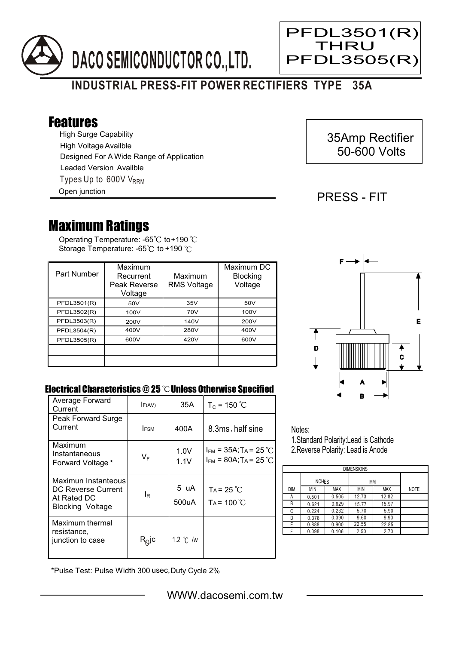



## Features

High Surge Capability Types Up to 600V V<sub>RRM</sub> High Voltage Availble Designed For A Wide Range of Application Leaded Version Availble

Open junction

## 35Amp Rectifier 50-600 Volts

### PRESS - FIT

Ξ

PFDL3501(R) **THRU** PFDL3505(R)

# Maximum Ratings

Operating Temperature: -65 $^{\circ}\textrm{C}$  to+190 Storage Temperature: -65°C to +190 °C

| Part Number | Maximum<br>Recurrent<br>Peak Reverse<br>Voltage | Maximum<br><b>RMS Voltage</b> | Maximum DC<br><b>Blocking</b><br>Voltage |
|-------------|-------------------------------------------------|-------------------------------|------------------------------------------|
| PFDL3501(R) | 50V                                             | 35V                           | 50V                                      |
| PFDL3502(R) | 100V                                            | 70V                           | 100V                                     |
| PFDL3503(R) | 200V                                            | 140V                          | 200V                                     |
| PFDL3504(R) | 400V                                            | 280V                          | 400V                                     |
| PFDL3505(R) | 600V                                            | 420V                          | 600V                                     |
|             |                                                 |                               |                                          |
|             |                                                 |                               |                                          |



#### Electrical Characteristics  $@25$   $^{\circ}\text{C}$  Unless Otherwise Specified

| Average Forward<br>Current                                                   | F(AV)                      | 35A           | $T_c = 150 °C$                                                                   |
|------------------------------------------------------------------------------|----------------------------|---------------|----------------------------------------------------------------------------------|
| Peak Forward Surge<br>Current                                                | <b>IFSM</b>                | 400A          | 8.3ms, half sine                                                                 |
| Maximum<br>Instantaneous<br>Forward Voltage *                                | $V_F$                      | 1.0V<br>1.1V  | $I_{FM}$ = 35A; T <sub>A</sub> = 25 °C<br>$I_{FM}$ = 80A; T <sub>A</sub> = 25 °C |
| Maximun Instanteous<br>DC Reverse Current<br>At Rated DC<br>Blocking Voltage | ΙR                         | 5 uA<br>500uA | $Ta = 25 °C$<br>$Ta = 100^{\circ}C$                                              |
| Maximum thermal<br>resistance,<br>junction to case                           | $\mathsf{R}^\mathsf{Q}$ lc | 1.2 °C /w     |                                                                                  |

Notes:

1.Standard Polarity:Lead is Cathode 2.Reverse Polarity: Lead is Anode

| <b>DIMENSIONS</b> |               |            |       |            |             |  |  |  |  |
|-------------------|---------------|------------|-------|------------|-------------|--|--|--|--|
|                   | <b>INCHES</b> |            | MM    |            |             |  |  |  |  |
| DIM               | <b>MIN</b>    | <b>MAX</b> | MIN   | <b>MAX</b> | <b>NOTE</b> |  |  |  |  |
| Α                 | 0.501         | 0.505      | 12.73 | 12.82      |             |  |  |  |  |
| В                 | 0.621         | 0.629      | 15.77 | 15.97      |             |  |  |  |  |
| С                 | 0.224         | 0.232      | 5.70  | 5.90       |             |  |  |  |  |
| D                 | 0.378         | 0.390      | 9.60  | 9.90       |             |  |  |  |  |
| E                 | 0.888         | 0.900      | 22.55 | 22.85      |             |  |  |  |  |
|                   | 0.098         | 0.106      | 2.50  | 2.70       |             |  |  |  |  |

\*Pulse Test: Pulse Width 300 usec,Duty Cycle 2%